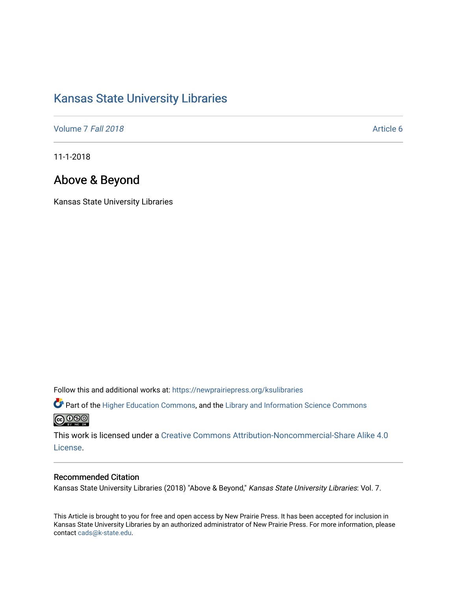# [Kansas State University Libraries](https://newprairiepress.org/ksulibraries)

[Volume 7](https://newprairiepress.org/ksulibraries/vol7) Fall 2018 Article 6

11-1-2018

# Above & Beyond

Kansas State University Libraries

Follow this and additional works at: [https://newprairiepress.org/ksulibraries](https://newprairiepress.org/ksulibraries?utm_source=newprairiepress.org%2Fksulibraries%2Fvol7%2Fiss1%2F6&utm_medium=PDF&utm_campaign=PDFCoverPages)

Part of the [Higher Education Commons,](http://network.bepress.com/hgg/discipline/1245?utm_source=newprairiepress.org%2Fksulibraries%2Fvol7%2Fiss1%2F6&utm_medium=PDF&utm_campaign=PDFCoverPages) and the [Library and Information Science Commons](http://network.bepress.com/hgg/discipline/1018?utm_source=newprairiepress.org%2Fksulibraries%2Fvol7%2Fiss1%2F6&utm_medium=PDF&utm_campaign=PDFCoverPages)  <u>@000</u>

This work is licensed under a [Creative Commons Attribution-Noncommercial-Share Alike 4.0](https://creativecommons.org/licenses/by-nc-sa/4.0/) [License.](https://creativecommons.org/licenses/by-nc-sa/4.0/)

### Recommended Citation

Kansas State University Libraries (2018) "Above & Beyond," Kansas State University Libraries: Vol. 7.

This Article is brought to you for free and open access by New Prairie Press. It has been accepted for inclusion in Kansas State University Libraries by an authorized administrator of New Prairie Press. For more information, please contact [cads@k-state.edu](mailto:cads@k-state.edu).